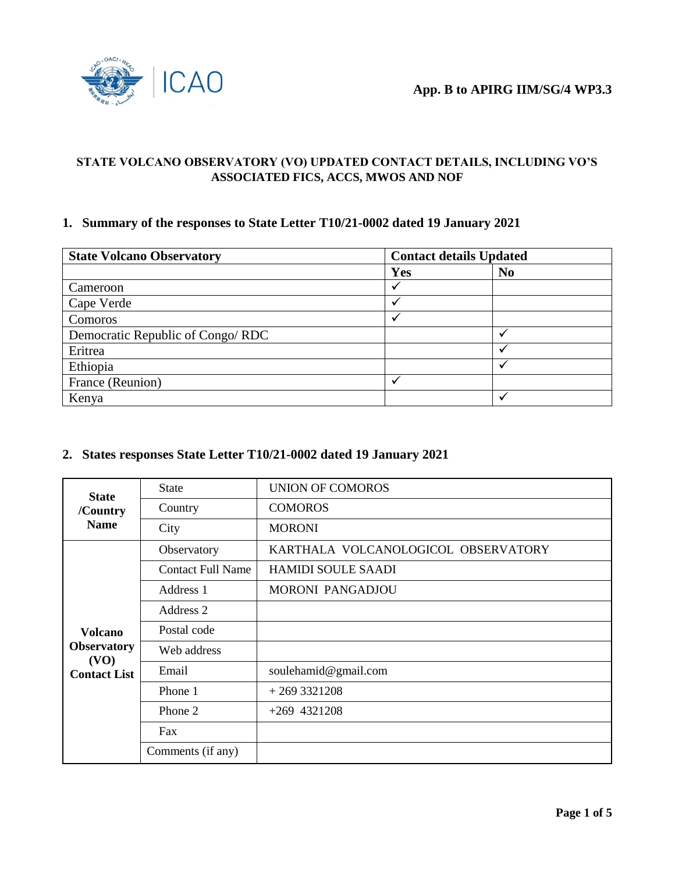

### **STATE VOLCANO OBSERVATORY (VO) UPDATED CONTACT DETAILS, INCLUDING VO'S ASSOCIATED FICS, ACCS, MWOS AND NOF**

### **1. Summary of the responses to State Letter T10/21-0002 dated 19 January 2021**

| <b>State Volcano Observatory</b> | <b>Contact details Updated</b> |                |  |
|----------------------------------|--------------------------------|----------------|--|
|                                  | Yes                            | N <sub>0</sub> |  |
| Cameroon                         |                                |                |  |
| Cape Verde                       |                                |                |  |
| Comoros                          |                                |                |  |
| Democratic Republic of Congo/RDC |                                |                |  |
| Eritrea                          |                                |                |  |
| Ethiopia                         |                                |                |  |
| France (Reunion)                 |                                |                |  |
| Kenya                            |                                |                |  |

## **2. States responses State Letter T10/21-0002 dated 19 January 2021**

| <b>State</b><br>/Country   | <b>State</b>             | <b>UNION OF COMOROS</b>             |
|----------------------------|--------------------------|-------------------------------------|
|                            | Country                  | <b>COMOROS</b>                      |
| <b>Name</b>                | City                     | <b>MORONI</b>                       |
|                            | Observatory              | KARTHALA VOLCANOLOGICOL OBSERVATORY |
|                            | <b>Contact Full Name</b> | <b>HAMIDI SOULE SAADI</b>           |
|                            | Address 1                | <b>MORONI PANGADJOU</b>             |
|                            | Address 2                |                                     |
| <b>Volcano</b>             | Postal code              |                                     |
| <b>Observatory</b><br>(VO) | Web address              |                                     |
| <b>Contact List</b>        | Email                    | soulehamid@gmail.com                |
|                            | Phone 1                  | $+2693321208$                       |
|                            | Phone 2                  | $+269$ 4321208                      |
|                            | Fax                      |                                     |
|                            | Comments (if any)        |                                     |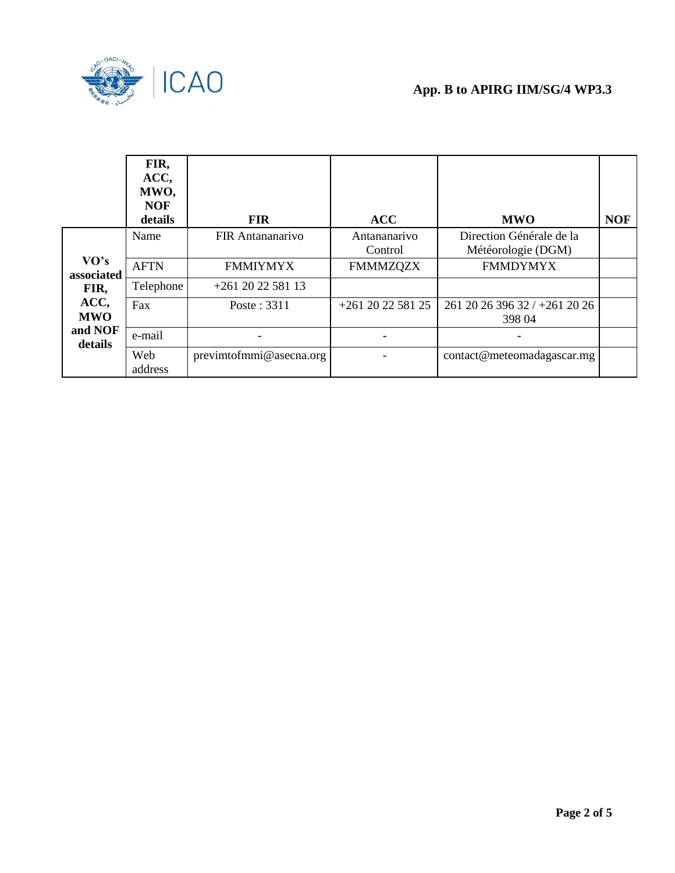

|                    | FIR,<br>ACC,<br>MWO,<br><b>NOF</b><br>details | <b>FIR</b>              | <b>ACC</b>              | <b>MWO</b>                                     | <b>NOF</b> |
|--------------------|-----------------------------------------------|-------------------------|-------------------------|------------------------------------------------|------------|
|                    | Name                                          | <b>FIR Antananarivo</b> | Antananarivo<br>Control | Direction Générale de la<br>Météorologie (DGM) |            |
| VO's<br>associated | <b>AFTN</b>                                   | <b>FMMIYMYX</b>         | <b>FMMMZQZX</b>         | <b>FMMDYMYX</b>                                |            |
| FIR,               | Telephone                                     | $+261$ 20 22 581 13     |                         |                                                |            |
| ACC,<br><b>MWO</b> | Fax                                           | Poste: 3311             | +261 20 22 581 25       | 261 20 26 396 32 / +261 20 26<br>398 04        |            |
| and NOF<br>details | e-mail                                        |                         |                         |                                                |            |
|                    | Web<br>address                                | previmtofmmi@asecna.org |                         | contact@meteomadagascar.mg                     |            |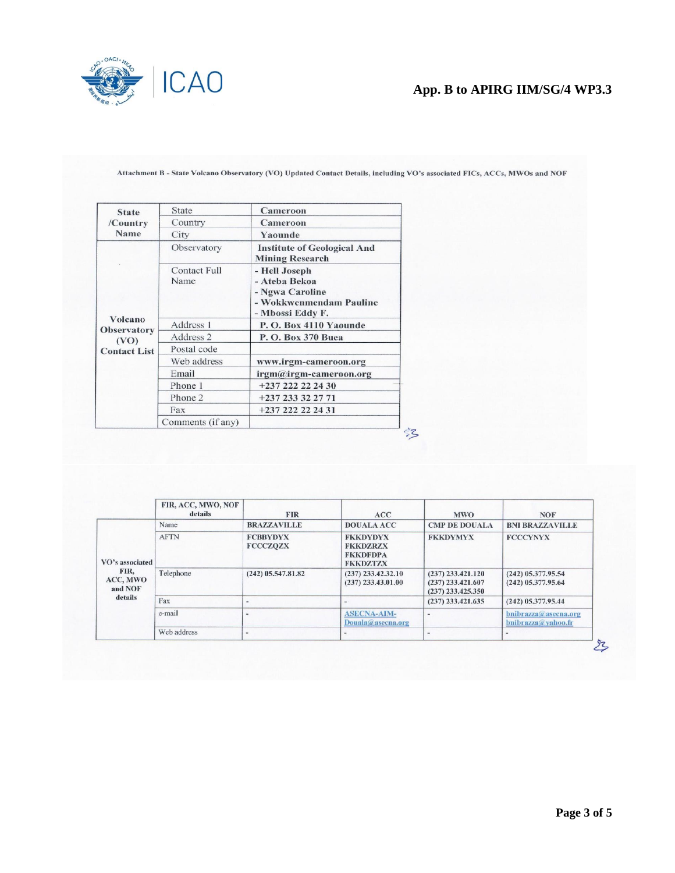

# **App. B to APIRG IIM/SG/4 WP3.3**

| <b>State</b>                  | State                       | Cameroon                                                                                         |  |
|-------------------------------|-----------------------------|--------------------------------------------------------------------------------------------------|--|
| /Country                      | Country                     | Cameroon                                                                                         |  |
| Name                          | City                        | Yaounde                                                                                          |  |
|                               | Observatory                 | <b>Institute of Geological And</b><br><b>Mining Research</b>                                     |  |
|                               | <b>Contact Full</b><br>Name | - Hell Joseph<br>- Ateba Bekoa<br>- Ngwa Caroline<br>- Wokkwenmendam Pauline<br>- Mbossi Eddy F. |  |
| Volcano<br><b>Observatory</b> | Address 1                   | P.O. Box 4110 Yaounde                                                                            |  |
| (VO)                          | Address 2                   | P. O. Box 370 Buea                                                                               |  |
| <b>Contact List</b>           | Postal code                 |                                                                                                  |  |
|                               | Web address                 | www.irgm-cameroon.org                                                                            |  |
|                               | Email                       | irgm@irgm-cameroon.org                                                                           |  |
|                               | Phone 1                     | +237 222 22 24 30                                                                                |  |
|                               | Phone 2                     | +237 233 32 27 71                                                                                |  |
|                               | Fax                         | +237 222 22 24 31                                                                                |  |
|                               | Comments (if any)           |                                                                                                  |  |

Attachment B - State Volcano Observatory (VO) Updated Contact Details, including VO's associated FICs, ACCs, MWOs and NOF

|                                                           | FIR, ACC, MWO, NOF<br>details | <b>FIR</b>                         | ACC                                                                      | <b>MWO</b>                                                        | <b>NOF</b>                                   |
|-----------------------------------------------------------|-------------------------------|------------------------------------|--------------------------------------------------------------------------|-------------------------------------------------------------------|----------------------------------------------|
| VO's associated<br>FIR,<br>ACC, MWO<br>and NOF<br>details | Name                          | <b>BRAZZAVILLE</b>                 | <b>DOUALA ACC</b>                                                        | <b>CMP DE DOUALA</b>                                              | <b>BNI BRAZZAVILLE</b>                       |
|                                                           | <b>AFTN</b>                   | <b>FCBBYDYX</b><br><b>FCCCZQZX</b> | <b>FKKDYDYX</b><br><b>FKKDZRZX</b><br><b>FKKDFDPA</b><br><b>FKKDZTZX</b> | <b>FKKDYMYX</b>                                                   | <b>FCCCYNYX</b>                              |
|                                                           | Telephone                     | $(242)$ 05.547.81.82               | $(237)$ 233.42.32.10<br>$(237)$ 233.43.01.00                             | $(237)$ 233.421.120<br>$(237)$ 233.421.607<br>$(237)$ 233.425.350 | $(242)$ 05.377.95.54<br>$(242)$ 05.377.95.64 |
|                                                           | Fax                           |                                    |                                                                          | $(237)$ 233.421.635                                               | $(242)$ 05.377.95.44                         |
|                                                           | e-mail                        | -                                  | <b>ASECNA-AIM-</b><br>$Douala@$ asecna.org                               |                                                                   | bnibrazza@asecna.org<br>bnibrazza@yahoo.fr   |
|                                                           | Web address                   | $\overline{\phantom{m}}$           | $\qquad \qquad \blacksquare$                                             | $\frac{1}{2}$                                                     |                                              |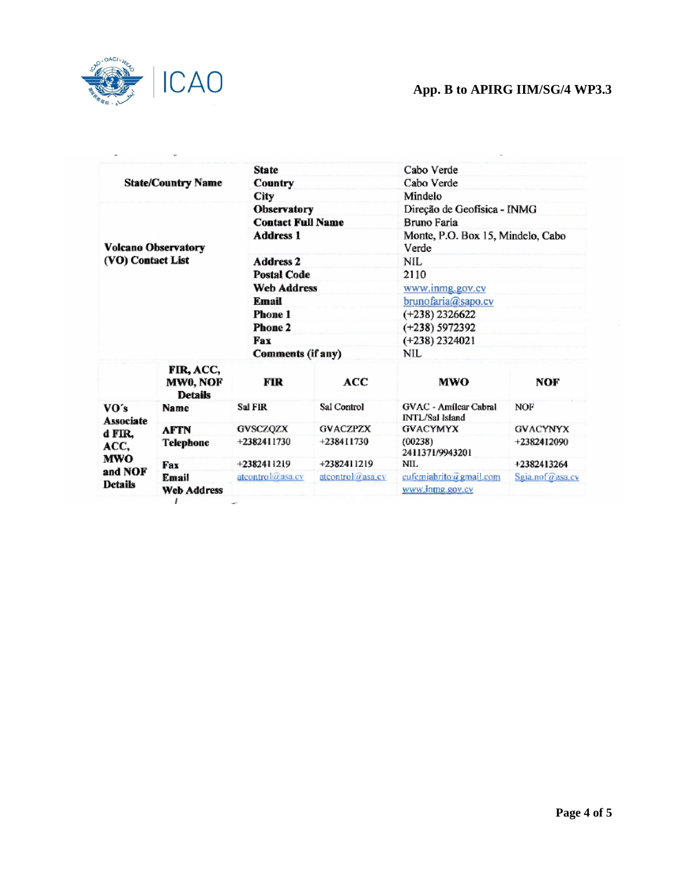

# **App. B to APIRG IIM/SG/4 WP3.3**

| <b>State/Country Name</b>                             |                                         | <b>State</b>             |                  | Cabo Verde                                      |                 |  |
|-------------------------------------------------------|-----------------------------------------|--------------------------|------------------|-------------------------------------------------|-----------------|--|
|                                                       |                                         | Country                  |                  | Cabo Verde                                      |                 |  |
|                                                       |                                         | City                     |                  | Mindelo                                         |                 |  |
|                                                       |                                         | Observatory              |                  | Direção de Geofísica - INMG                     |                 |  |
|                                                       |                                         | <b>Contact Full Name</b> |                  | Bruno Faria                                     |                 |  |
| <b>Volcano Observatory</b><br>(VO) Contact List       |                                         | <b>Address 1</b>         |                  | Monte, P.O. Box 15, Mindelo, Cabo<br>Verde      |                 |  |
|                                                       |                                         | <b>Address 2</b>         |                  | NIL                                             |                 |  |
|                                                       |                                         | <b>Postal Code</b>       |                  | 2110                                            |                 |  |
|                                                       |                                         | <b>Web Address</b>       |                  | www.inmg.gov.cv                                 |                 |  |
|                                                       |                                         | Email                    |                  | brunofaria@sapo.cv                              |                 |  |
|                                                       |                                         | Phone 1                  |                  | $(+238)$ 2326622                                |                 |  |
|                                                       |                                         | <b>Phone 2</b>           |                  | $(+238) 5972392$                                |                 |  |
|                                                       |                                         | Fax                      |                  | $(+238)$ 2324021                                |                 |  |
|                                                       |                                         | Comments (if any)        |                  | NIL.                                            |                 |  |
|                                                       | FIR, ACC,<br>MW0, NOF<br><b>Details</b> | FIR                      | ACC              | <b>MWO</b>                                      | NOF             |  |
| VO's<br>Associate<br>d FIR,<br>ACC,<br>MWO<br>and NOF | Name                                    | Sal FIR                  | Sal Control      | GVAC - Amílcar Cabral<br><b>INTL/Sal Island</b> | <b>NOF</b>      |  |
|                                                       | <b>AFTN</b>                             | <b>GVSCZQZX</b>          | <b>GVACZPZX</b>  | <b>GVACYMYX</b>                                 | <b>GVACYNYX</b> |  |
|                                                       | Telephone                               | +2382411730              | +238411730       | (00238)<br>2411371/9943201                      | +2382412090     |  |
|                                                       | Fax                                     | +2382411219              | +2382411219      | NIL.                                            | +2382413264     |  |
|                                                       | Email                                   | atcontrol@asa.cv         | atcontrol@asa.cv | eufemiabrito@gmail.com                          | Sgia.nof@asa.cv |  |
| <b>Details</b>                                        | <b>Web Address</b>                      |                          |                  | www.inmg.gov.cv                                 |                 |  |